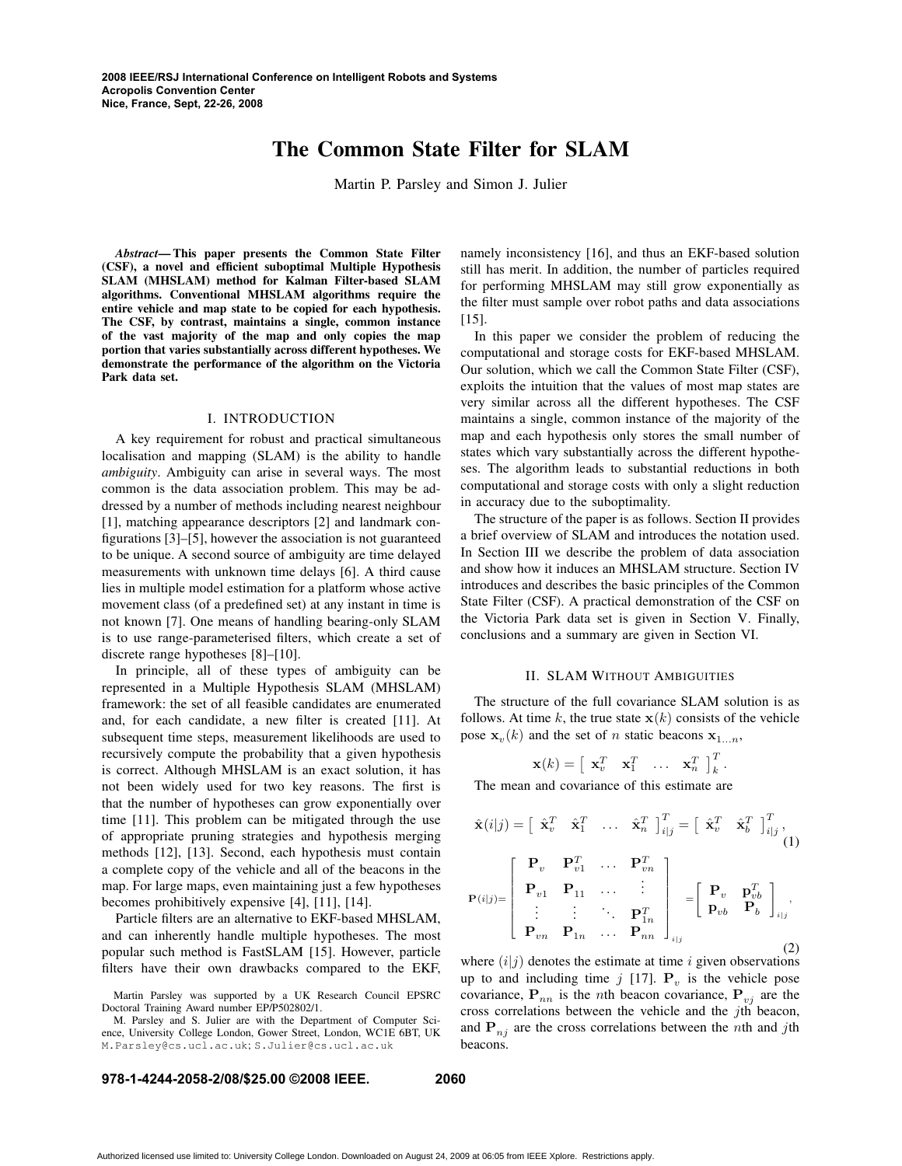# **The Common State Filter for SLAM**

Martin P. Parsley and Simon J. Julier

*Abstract***— This paper presents the Common State Filter (CSF), a novel and efficient suboptimal Multiple Hypothesis SLAM (MHSLAM) method for Kalman Filter-based SLAM algorithms. Conventional MHSLAM algorithms require the entire vehicle and map state to be copied for each hypothesis. The CSF, by contrast, maintains a single, common instance of the vast majority of the map and only copies the map portion that varies substantially across different hypotheses. We demonstrate the performance of the algorithm on the Victoria Park data set.**

### I. INTRODUCTION

A key requirement for robust and practical simultaneous localisation and mapping (SLAM) is the ability to handle *ambiguity*. Ambiguity can arise in several ways. The most common is the data association problem. This may be addressed by a number of methods including nearest neighbour [1], matching appearance descriptors [2] and landmark configurations [3]–[5], however the association is not guaranteed to be unique. A second source of ambiguity are time delayed measurements with unknown time delays [6]. A third cause lies in multiple model estimation for a platform whose active movement class (of a predefined set) at any instant in time is not known [7]. One means of handling bearing-only SLAM is to use range-parameterised filters, which create a set of discrete range hypotheses [8]–[10].

In principle, all of these types of ambiguity can be represented in a Multiple Hypothesis SLAM (MHSLAM) framework: the set of all feasible candidates are enumerated and, for each candidate, a new filter is created [11]. At subsequent time steps, measurement likelihoods are used to recursively compute the probability that a given hypothesis is correct. Although MHSLAM is an exact solution, it has not been widely used for two key reasons. The first is that the number of hypotheses can grow exponentially over time [11]. This problem can be mitigated through the use of appropriate pruning strategies and hypothesis merging methods [12], [13]. Second, each hypothesis must contain a complete copy of the vehicle and all of the beacons in the map. For large maps, even maintaining just a few hypotheses becomes prohibitively expensive [4], [11], [14].

Particle filters are an alternative to EKF-based MHSLAM, and can inherently handle multiple hypotheses. The most popular such method is FastSLAM [15]. However, particle filters have their own drawbacks compared to the EKF,

Martin Parsley was supported by a UK Research Council EPSRC Doctoral Training Award number EP/P502802/1.

M. Parsley and S. Julier are with the Department of Computer Science, University College London, Gower Street, London, WC1E 6BT, UK M.Parsley@cs.ucl.ac.uk; S.Julier@cs.ucl.ac.uk

namely inconsistency [16], and thus an EKF-based solution still has merit. In addition, the number of particles required for performing MHSLAM may still grow exponentially as the filter must sample over robot paths and data associations [15].

In this paper we consider the problem of reducing the computational and storage costs for EKF-based MHSLAM. Our solution, which we call the Common State Filter (CSF), exploits the intuition that the values of most map states are very similar across all the different hypotheses. The CSF maintains a single, common instance of the majority of the map and each hypothesis only stores the small number of states which vary substantially across the different hypotheses. The algorithm leads to substantial reductions in both computational and storage costs with only a slight reduction in accuracy due to the suboptimality.

The structure of the paper is as follows. Section II provides a brief overview of SLAM and introduces the notation used. In Section III we describe the problem of data association and show how it induces an MHSLAM structure. Section IV introduces and describes the basic principles of the Common State Filter (CSF). A practical demonstration of the CSF on the Victoria Park data set is given in Section V. Finally, conclusions and a summary are given in Section VI.

## II. SLAM WITHOUT AMBIGUITIES

The structure of the full covariance SLAM solution is as follows. At time k, the true state  $x(k)$  consists of the vehicle pose  $\mathbf{x}_v(k)$  and the set of *n* static beacons  $\mathbf{x}_{1...n}$ ,

$$
\mathbf{x}(k) = \begin{bmatrix} \mathbf{x}_v^T & \mathbf{x}_1^T & \dots & \mathbf{x}_n^T \end{bmatrix}_k^T.
$$

The mean and covariance of this estimate are

$$
\hat{\mathbf{x}}(i|j) = \begin{bmatrix} \hat{\mathbf{x}}_v^T & \hat{\mathbf{x}}_1^T & \dots & \hat{\mathbf{x}}_n^T \end{bmatrix}_{i|j}^T = \begin{bmatrix} \hat{\mathbf{x}}_v^T & \hat{\mathbf{x}}_b^T \end{bmatrix}_{i|j}^T, \n\mathbf{P}(i|j) = \begin{bmatrix} \mathbf{P}_v & \mathbf{P}_{v1}^T & \dots & \mathbf{P}_{vn}^T \\ \mathbf{P}_{v1} & \mathbf{P}_{11} & \dots & \vdots \\ \vdots & \vdots & \ddots & \mathbf{P}_{1n}^T \\ \mathbf{P}_{vn} & \mathbf{P}_{1n} & \dots & \mathbf{P}_{nn} \end{bmatrix}_{i|j} = \begin{bmatrix} \mathbf{P}_v & \mathbf{p}_{vb}^T \\ \mathbf{p}_{vb} & \mathbf{P}_b \end{bmatrix}_{i|j},
$$
\n(2)

where  $(i|j)$  denotes the estimate at time i given observations up to and including time  $j$  [17].  $\mathbf{P}_v$  is the vehicle pose covariance,  $P_{nn}$  is the *n*th beacon covariance,  $P_{vj}$  are the cross correlations between the vehicle and the jth beacon, and  $P_{nj}$  are the cross correlations between the *n*th and *j*th beacons.

## **978-1-4244-2058-2/08/\$25.00 ©2008 IEEE. 2060**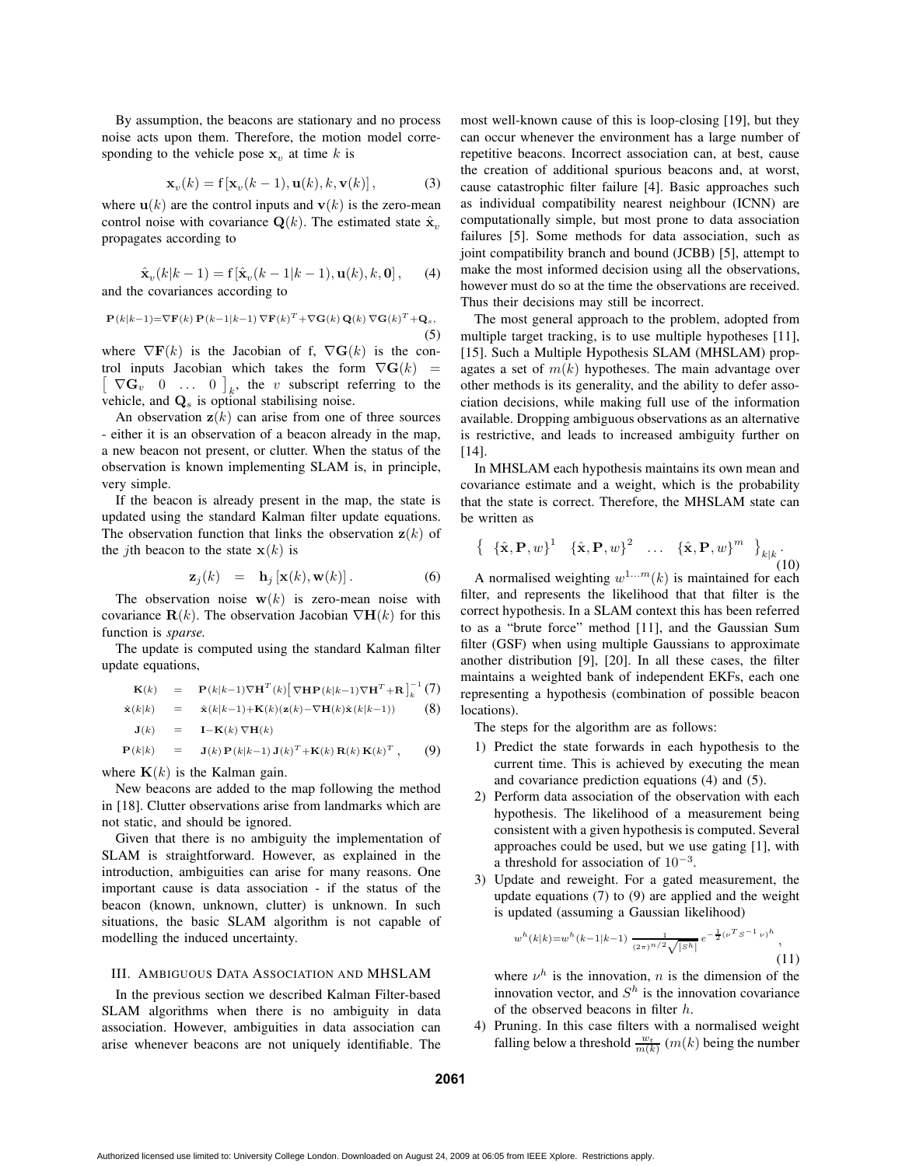By assumption, the beacons are stationary and no process noise acts upon them. Therefore, the motion model corresponding to the vehicle pose  $x_v$  at time k is

$$
\mathbf{x}_v(k) = \mathbf{f}\left[\mathbf{x}_v(k-1), \mathbf{u}(k), k, \mathbf{v}(k)\right],\tag{3}
$$

where  $\mathbf{u}(k)$  are the control inputs and  $\mathbf{v}(k)$  is the zero-mean control noise with covariance  $\mathbf{Q}(k)$ . The estimated state  $\hat{\mathbf{x}}_v$ . propagates according to

$$
\hat{\mathbf{x}}_v(k|k-1) = \mathbf{f}[\hat{\mathbf{x}}_v(k-1|k-1), \mathbf{u}(k), k, \mathbf{0}], \quad (4)
$$
  
and the covariances according to

(5)

 $\mathbf{P}(k|k-1) = \nabla \mathbf{F}(k) \mathbf{P}(k-1|k-1) \nabla \mathbf{F}(k)^T + \nabla \mathbf{G}(k) \mathbf{Q}(k) \nabla \mathbf{G}(k)^T + \mathbf{Q}_s,$ 

where  $\nabla$ **F**(k) is the Jacobian of f,  $\nabla$ **G**(k) is the con- $\begin{bmatrix} \nabla \mathbf{G}_v & 0 & \dots & 0 \end{bmatrix}_k$ , the v subscript referring to the trol inputs Jacobian which takes the form  $\nabla G(k)$  = vehicle, and  $\mathbf{Q}_s$  is optional stabilising noise.

An observation  $z(k)$  can arise from one of three sources - either it is an observation of a beacon already in the map, a new beacon not present, or clutter. When the status of the observation is known implementing SLAM is, in principle, very simple.

If the beacon is already present in the map, the state is updated using the standard Kalman filter update equations. The observation function that links the observation  $z(k)$  of the *j*th beacon to the state  $x(k)$  is

$$
\mathbf{z}_j(k) = \mathbf{h}_j \left[ \mathbf{x}(k), \mathbf{w}(k) \right]. \tag{6}
$$

The observation noise  $w(k)$  is zero-mean noise with covariance  $\mathbf{R}(k)$ . The observation Jacobian  $\nabla \mathbf{H}(k)$  for this function is *sparse.*

The update is computed using the standard Kalman filter update equations,

$$
\mathbf{K}(k) = \mathbf{P}(k|k-1)\nabla \mathbf{H}^{T}(k) \left[\nabla \mathbf{H} \mathbf{P}(k|k-1) \nabla \mathbf{H}^{T} + \mathbf{R}\right]_{k}^{-1} (7)
$$

$$
\hat{\mathbf{x}}(k|k) = \hat{\mathbf{x}}(k|k-1) + \mathbf{K}(k)(\mathbf{z}(k) - \nabla \mathbf{H}(k)\hat{\mathbf{x}}(k|k-1))
$$
 (8)

$$
\mathbf{J}(k) = \mathbf{I} - \mathbf{K}(k) \nabla \mathbf{H}(k)
$$

$$
\mathbf{P}(k|k) = \mathbf{J}(k)\,\mathbf{P}(k|k-1)\,\mathbf{J}(k)^T + \mathbf{K}(k)\,\mathbf{R}(k)\,\mathbf{K}(k)^T\,,\qquad(9)
$$

where  $K(k)$  is the Kalman gain.

New beacons are added to the map following the method in [18]. Clutter observations arise from landmarks which are not static, and should be ignored.

Given that there is no ambiguity the implementation of SLAM is straightforward. However, as explained in the introduction, ambiguities can arise for many reasons. One important cause is data association - if the status of the beacon (known, unknown, clutter) is unknown. In such situations, the basic SLAM algorithm is not capable of modelling the induced uncertainty.

## III. AMBIGUOUS DATA ASSOCIATION AND MHSLAM

In the previous section we described Kalman Filter-based SLAM algorithms when there is no ambiguity in data association. However, ambiguities in data association can arise whenever beacons are not uniquely identifiable. The most well-known cause of this is loop-closing [19], but they can occur whenever the environment has a large number of repetitive beacons. Incorrect association can, at best, cause the creation of additional spurious beacons and, at worst, cause catastrophic filter failure [4]. Basic approaches such as individual compatibility nearest neighbour (ICNN) are computationally simple, but most prone to data association failures [5]. Some methods for data association, such as joint compatibility branch and bound (JCBB) [5], attempt to make the most informed decision using all the observations, however must do so at the time the observations are received. Thus their decisions may still be incorrect.

The most general approach to the problem, adopted from multiple target tracking, is to use multiple hypotheses [11], [15]. Such a Multiple Hypothesis SLAM (MHSLAM) propagates a set of  $m(k)$  hypotheses. The main advantage over other methods is its generality, and the ability to defer association decisions, while making full use of the information available. Dropping ambiguous observations as an alternative is restrictive, and leads to increased ambiguity further on [14].

In MHSLAM each hypothesis maintains its own mean and covariance estimate and a weight, which is the probability that the state is correct. Therefore, the MHSLAM state can be written as

$$
\left\{ \begin{array}{ccc} {\{\hat{\mathbf{x}}},\mathbf{P},w\}^{1} & {\{\hat{\mathbf{x}}},\mathbf{P},w\}^{2} & \dots & {\{\hat{\mathbf{x}}},\mathbf{P},w\}^{m} \end{array} \right\}_{k|k} . \tag{10}
$$

A normalised weighting  $w^{1...m}(k)$  is maintained for each filter, and represents the likelihood that that filter is the correct hypothesis. In a SLAM context this has been referred to as a "brute force" method [11], and the Gaussian Sum filter (GSF) when using multiple Gaussians to approximate another distribution [9], [20]. In all these cases, the filter maintains a weighted bank of independent EKFs, each one representing a hypothesis (combination of possible beacon locations).

The steps for the algorithm are as follows:

- 1) Predict the state forwards in each hypothesis to the current time. This is achieved by executing the mean and covariance prediction equations (4) and (5).
- 2) Perform data association of the observation with each hypothesis. The likelihood of a measurement being consistent with a given hypothesis is computed. Several approaches could be used, but we use gating [1], with a threshold for association of  $10^{-3}$ .
- 3) Update and reweight. For a gated measurement, the update equations (7) to (9) are applied and the weight is updated (assuming a Gaussian likelihood)

$$
w^{h}(k|k) = w^{h}(k-1|k-1) \frac{1}{(2\pi)^{n/2}\sqrt{|S^{h}|}} e^{-\frac{1}{2}(\nu^{T}S^{-1}\nu)^{h}},
$$
\n(11)

where  $\nu^h$  is the innovation, n is the dimension of the innovation vector, and  $S<sup>h</sup>$  is the innovation covariance of the observed beacons in filter h.

4) Pruning. In this case filters with a normalised weight falling below a threshold  $\frac{w_t}{m(k)}$  (m(k) being the number

**2061**

Authorized licensed use limited to: University College London. Downloaded on August 24, 2009 at 06:05 from IEEE Xplore. Restrictions apply.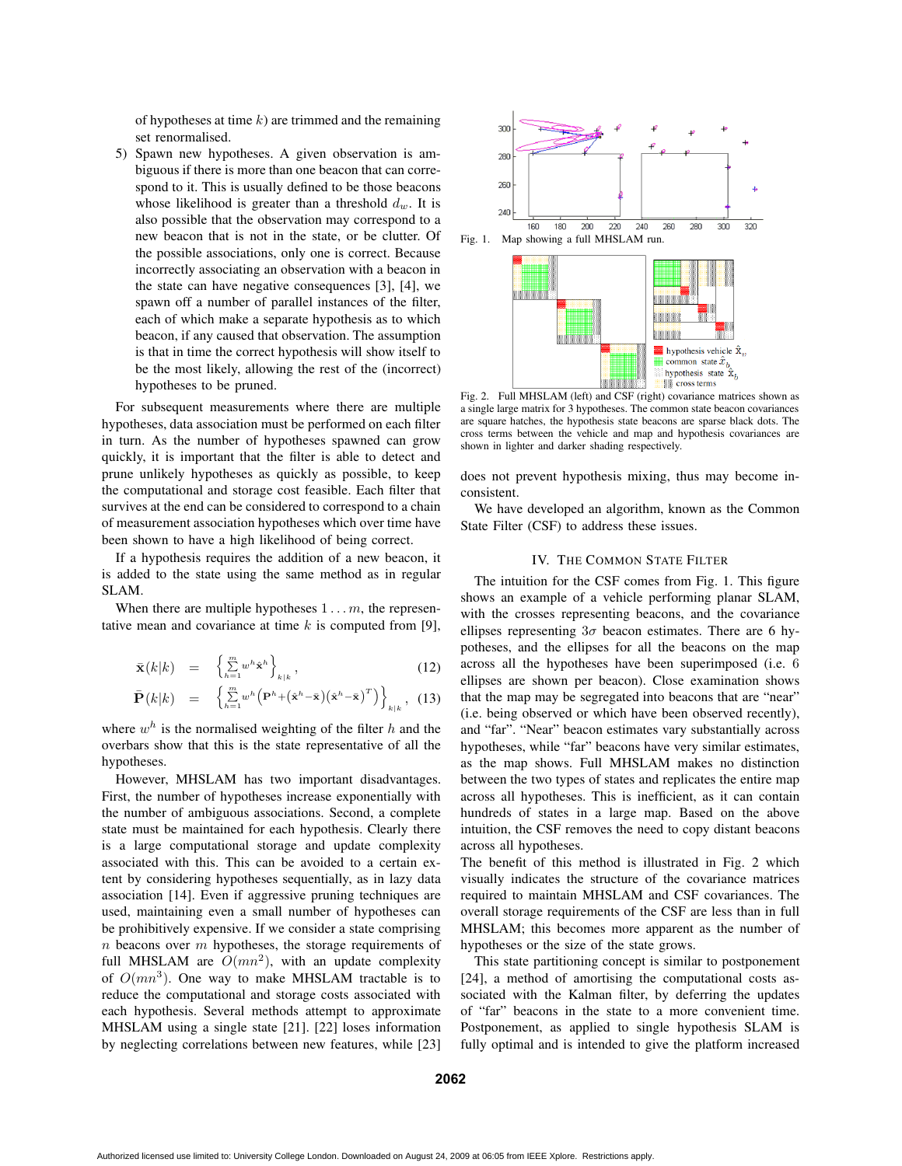of hypotheses at time  $k$ ) are trimmed and the remaining set renormalised.

5) Spawn new hypotheses. A given observation is ambiguous if there is more than one beacon that can correspond to it. This is usually defined to be those beacons whose likelihood is greater than a threshold  $d_w$ . It is also possible that the observation may correspond to a new beacon that is not in the state, or be clutter. Of the possible associations, only one is correct. Because incorrectly associating an observation with a beacon in the state can have negative consequences [3], [4], we spawn off a number of parallel instances of the filter, each of which make a separate hypothesis as to which beacon, if any caused that observation. The assumption is that in time the correct hypothesis will show itself to be the most likely, allowing the rest of the (incorrect) hypotheses to be pruned.

For subsequent measurements where there are multiple hypotheses, data association must be performed on each filter in turn. As the number of hypotheses spawned can grow quickly, it is important that the filter is able to detect and prune unlikely hypotheses as quickly as possible, to keep the computational and storage cost feasible. Each filter that survives at the end can be considered to correspond to a chain of measurement association hypotheses which over time have been shown to have a high likelihood of being correct.

If a hypothesis requires the addition of a new beacon, it is added to the state using the same method as in regular SLAM.

When there are multiple hypotheses  $1 \ldots m$ , the representative mean and covariance at time  $k$  is computed from [9],

$$
\bar{\mathbf{x}}(k|k) = \left\{ \sum_{h=1}^{m} w^h \hat{\mathbf{x}}^h \right\}_{k|k},
$$
\n(12)

$$
\bar{\mathbf{P}}(k|k) = \left\{ \sum_{h=1}^{m} w^h \left( \mathbf{P}^h + (\hat{\mathbf{x}}^h - \bar{\mathbf{x}}) (\hat{\mathbf{x}}^h - \bar{\mathbf{x}})^T \right) \right\}_{k|k}, (13)
$$

where  $w<sup>h</sup>$  is the normalised weighting of the filter h and the overbars show that this is the state representative of all the hypotheses.

However, MHSLAM has two important disadvantages. First, the number of hypotheses increase exponentially with the number of ambiguous associations. Second, a complete state must be maintained for each hypothesis. Clearly there is a large computational storage and update complexity associated with this. This can be avoided to a certain extent by considering hypotheses sequentially, as in lazy data association [14]. Even if aggressive pruning techniques are used, maintaining even a small number of hypotheses can be prohibitively expensive. If we consider a state comprising  $n$  beacons over  $m$  hypotheses, the storage requirements of full MHSLAM are  $O(mn^2)$ , with an update complexity of  $O(mn^3)$ . One way to make MHSLAM tractable is to reduce the computational and storage costs associated with each hypothesis. Several methods attempt to approximate MHSLAM using a single state [21]. [22] loses information by neglecting correlations between new features, while [23]



Fig. 2. Full MHSLAM (left) and CSF (right) covariance matrices shown as a single large matrix for 3 hypotheses. The common state beacon covariances are square hatches, the hypothesis state beacons are sparse black dots. The cross terms between the vehicle and map and hypothesis covariances are shown in lighter and darker shading respectively.

does not prevent hypothesis mixing, thus may become inconsistent.

We have developed an algorithm, known as the Common State Filter (CSF) to address these issues.

# IV. THE COMMON STATE FILTER

The intuition for the CSF comes from Fig. 1. This figure shows an example of a vehicle performing planar SLAM, with the crosses representing beacons, and the covariance ellipses representing  $3\sigma$  beacon estimates. There are 6 hypotheses, and the ellipses for all the beacons on the map across all the hypotheses have been superimposed (i.e. 6 ellipses are shown per beacon). Close examination shows that the map may be segregated into beacons that are "near" (i.e. being observed or which have been observed recently), and "far". "Near" beacon estimates vary substantially across hypotheses, while "far" beacons have very similar estimates, as the map shows. Full MHSLAM makes no distinction between the two types of states and replicates the entire map across all hypotheses. This is inefficient, as it can contain hundreds of states in a large map. Based on the above intuition, the CSF removes the need to copy distant beacons across all hypotheses.

The benefit of this method is illustrated in Fig. 2 which visually indicates the structure of the covariance matrices required to maintain MHSLAM and CSF covariances. The overall storage requirements of the CSF are less than in full MHSLAM; this becomes more apparent as the number of hypotheses or the size of the state grows.

This state partitioning concept is similar to postponement [24], a method of amortising the computational costs associated with the Kalman filter, by deferring the updates of "far" beacons in the state to a more convenient time. Postponement, as applied to single hypothesis SLAM is fully optimal and is intended to give the platform increased

**2062**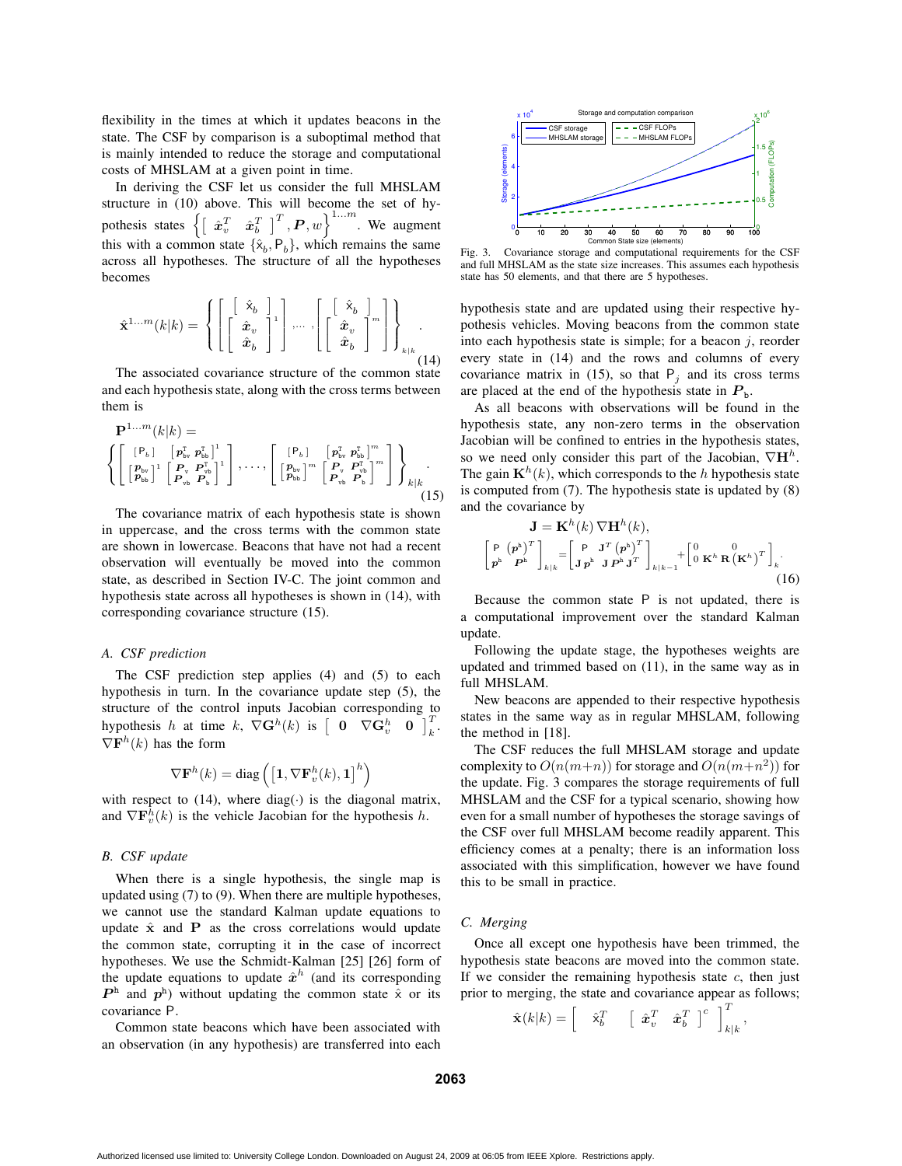flexibility in the times at which it updates beacons in the state. The CSF by comparison is a suboptimal method that is mainly intended to reduce the storage and computational costs of MHSLAM at a given point in time.

In deriving the CSF let us consider the full MHSLAM structure in (10) above. This will become the set of hypothesis states  $\left\{ \left[ \begin{array}{cc} \hat{\boldsymbol{x}}_v^T & \hat{\boldsymbol{x}}_b^T \end{array} \right]^T, \boldsymbol{P}, w \right\}^{1...m}$ . We augment this with a common state  $\{\hat{x}_b, P_b\}$ , which remains the same across all hypotheses. The structure of all the hypotheses becomes

$$
\hat{\mathbf{x}}^{1...m}(k|k) = \left\{ \left[ \begin{bmatrix} \begin{bmatrix} \hat{\mathbf{x}}_b \\ \hat{\mathbf{x}}_v \\ \hat{\mathbf{x}}_b \end{bmatrix} ^1 \end{bmatrix}, \cdots, \begin{bmatrix} \begin{bmatrix} \hat{\mathbf{x}}_b \\ \hat{\mathbf{x}}_v \\ \hat{\mathbf{x}}_b \end{bmatrix} ^m \end{bmatrix} \right] \right\}_{k|k} .
$$
\n(14)

The associated covariance structure of the common state and each hypothesis state, along with the cross terms between them is

$$
\mathbf{P}^{1...m}(k|k) = \left\{ \begin{bmatrix} [\mathbf{P}_{b}] & [\mathbf{p}_{\text{bv}}^{\text{T}} \mathbf{p}_{\text{bb}}^{\text{T}}] \\ [\mathbf{P}_{\text{bv}}^{\text{D}}] & [\mathbf{P}_{\text{bv}}^{\text{T}} \mathbf{p}_{\text{bb}}^{\text{T}}] \end{bmatrix}, \ldots, \begin{bmatrix} [\mathbf{P}_{b}] & [\mathbf{p}_{\text{bv}}^{\text{T}} \mathbf{p}_{\text{bb}}^{\text{T}}]^{m} \\ [\mathbf{P}_{\text{bv}}^{\text{D}}]^{m} & [\mathbf{P}_{\text{v}} \mathbf{P}_{\text{b}}^{\text{T}}]^{m} \\ [\mathbf{P}_{\text{vb}}^{\text{D}} \mathbf{p}_{\text{b}}^{\text{D}}]^{m} & [\mathbf{P}_{\text{v}} \mathbf{P}_{\text{b}}^{\text{T}}]^{m} \end{bmatrix} \right\}_{k|k} . \tag{15}
$$

The covariance matrix of each hypothesis state is shown in uppercase, and the cross terms with the common state are shown in lowercase. Beacons that have not had a recent observation will eventually be moved into the common state, as described in Section IV-C. The joint common and hypothesis state across all hypotheses is shown in (14), with corresponding covariance structure (15).

# *A. CSF prediction*

The CSF prediction step applies (4) and (5) to each hypothesis in turn. In the covariance update step (5), the structure of the control inputs Jacobian corresponding to hypothesis h at time k,  $\nabla \mathbf{G}^h(k)$  is  $\begin{bmatrix} \mathbf{0} & \nabla \mathbf{G}^h_v & \mathbf{0} \end{bmatrix}_k^T$ .  $\nabla \mathbf{F}^{h}(k)$  has the form

$$
\nabla \mathbf{F}^{h}(k) = \text{diag}\left(\left[\mathbf{1}, \nabla \mathbf{F}_{v}^{h}(k), \mathbf{1}\right]^{h}\right)
$$

with respect to  $(14)$ , where diag $(·)$  is the diagonal matrix, and  $\nabla \mathbf{F}_v^h(k)$  is the vehicle Jacobian for the hypothesis h.

# *B. CSF update*

When there is a single hypothesis, the single map is updated using (7) to (9). When there are multiple hypotheses, we cannot use the standard Kalman update equations to update  $\hat{x}$  and **P** as the cross correlations would update the common state, corrupting it in the case of incorrect hypotheses. We use the Schmidt-Kalman [25] [26] form of the update equations to update  $\hat{x}^h$  (and its corresponding  $P^{\text{h}}$  and  $p^{\text{h}}$ ) without updating the common state  $\hat{x}$  or its covariance P.

Common state beacons which have been associated with an observation (in any hypothesis) are transferred into each



Fig. 3. Covariance storage and computational requirements for the CSF and full MHSLAM as the state size increases. This assumes each hypothesis state has 50 elements, and that there are 5 hypotheses.

hypothesis state and are updated using their respective hypothesis vehicles. Moving beacons from the common state into each hypothesis state is simple; for a beacon  $j$ , reorder every state in (14) and the rows and columns of every covariance matrix in (15), so that  $P_j$  and its cross terms are placed at the end of the hypothesis state in  $P_{b}$ .

As all beacons with observations will be found in the hypothesis state, any non-zero terms in the observation Jacobian will be confined to entries in the hypothesis states, so we need only consider this part of the Jacobian,  $\nabla \mathbf{H}^h$ . The gain  $\mathbf{K}^{h}(k)$ , which corresponds to the h hypothesis state is computed from (7). The hypothesis state is updated by (8) and the covariance by

$$
\mathbf{J} = \mathbf{K}^{h}(k) \nabla \mathbf{H}^{h}(k),
$$
\n
$$
\begin{bmatrix} \mathbf{P} \left( \mathbf{p}^{h} \right)^{T} \\ \mathbf{p}^{h} \mathbf{P}^{h} \end{bmatrix}_{k|k} = \begin{bmatrix} \mathbf{P} & \mathbf{J}^{T} \left( \mathbf{p}^{h} \right)^{T} \\ \mathbf{J} \mathbf{p}^{h} & \mathbf{J} \mathbf{P}^{h} \mathbf{J}^{T} \end{bmatrix}_{k|k-1} + \begin{bmatrix} 0 & 0 \\ 0 & \mathbf{K}^{h} \mathbf{R} \left( \mathbf{K}^{h} \right)^{T} \end{bmatrix}_{k}.
$$
\n(16)

Because the common state P is not updated, there is a computational improvement over the standard Kalman update.

Following the update stage, the hypotheses weights are updated and trimmed based on (11), in the same way as in full MHSLAM.

New beacons are appended to their respective hypothesis states in the same way as in regular MHSLAM, following the method in [18].

The CSF reduces the full MHSLAM storage and update complexity to  $O(n(m+n))$  for storage and  $O(n(m+n^2))$  for the update. Fig. 3 compares the storage requirements of full MHSLAM and the CSF for a typical scenario, showing how even for a small number of hypotheses the storage savings of the CSF over full MHSLAM become readily apparent. This efficiency comes at a penalty; there is an information loss associated with this simplification, however we have found this to be small in practice.

## *C. Merging*

Once all except one hypothesis have been trimmed, the hypothesis state beacons are moved into the common state. If we consider the remaining hypothesis state  $c$ , then just prior to merging, the state and covariance appear as follows;

$$
\hat{\mathbf{x}}(k|k) = \begin{bmatrix} \hat{\mathbf{x}}_b^T & \begin{bmatrix} \hat{\mathbf{x}}_v^T & \hat{\mathbf{x}}_b^T \end{bmatrix}^c \end{bmatrix}_{k|k}^T,
$$

**2063**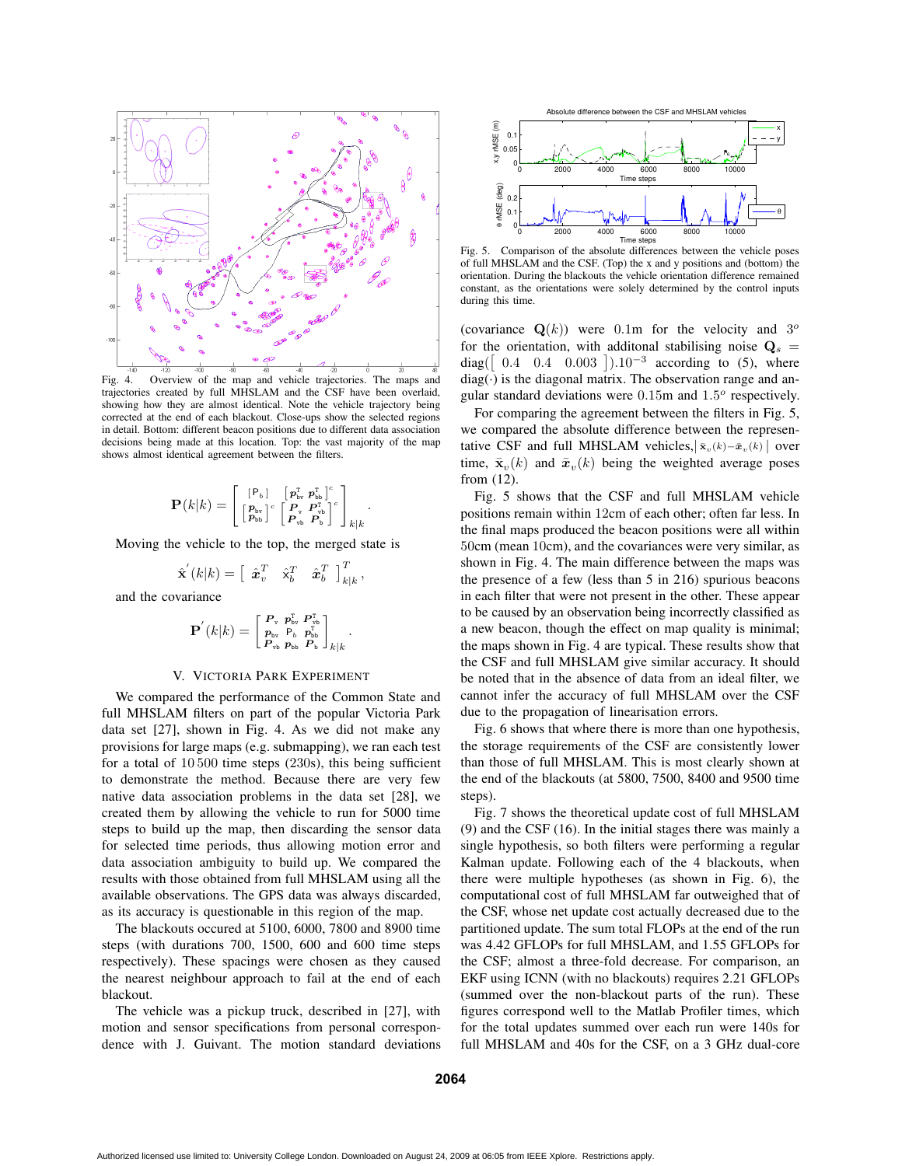

Fig. 4. Overview of the map and vehicle trajectories. The maps and trajectories created by full MHSLAM and the CSF have been overlaid, showing how they are almost identical. Note the vehicle trajectory being corrected at the end of each blackout. Close-ups show the selected regions in detail. Bottom: different beacon positions due to different data association decisions being made at this location. Top: the vast majority of the map shows almost identical agreement between the filters.

$$
\mathbf{P}(k|k) = \left[ \begin{smallmatrix} [\mathbf{P}_b] & \left[\begin{smallmatrix} \boldsymbol{p}_{\text{bv}}^{\text{T}} & \boldsymbol{p}_{\text{bb}}^{\text{T}} \end{smallmatrix}\right]^c \\ \left[\begin{smallmatrix} \boldsymbol{p}_{\text{bv}} \\ \boldsymbol{p}_{\text{bb}} \end{smallmatrix}\right]^c & \left[\begin{smallmatrix} \boldsymbol{P}_{\text{v}} & \boldsymbol{P}_{\text{vb}}^{\text{T}} \\ \boldsymbol{P}_{\text{vb}} & \boldsymbol{P}_{\text{v}} \end{smallmatrix}\right]^c \right]_{k|k}
$$

.

.

Moving the vehicle to the top, the merged state is

$$
\hat{\mathbf{x}}'(k|k) = \left[\begin{array}{cc} \hat{\mathbf{x}}_v^T & \hat{\mathbf{x}}_b^T & \hat{\mathbf{x}}_b^T \end{array}\right]_{k|k}^T,
$$

and the covariance

$$
{\bf P}^{'}(k|k)=\left[\begin{smallmatrix} {\bf P}_{\rm v}& {\bf p}_{\rm bv}^{\rm T}& {\bf P}_{\rm vb}^{\rm T}\\ {\bf p}_{\rm bv}& {\bf P}_{\rm b}& {\bf p}_{\rm bb}^{\rm T}\\ {\bf P}_{\rm vb}& {\bf p}_{\rm bb}& {\bf P}_{\rm b}\end{smallmatrix}\right]_{k|k}
$$

## V. VICTORIA PARK EXPERIMENT

We compared the performance of the Common State and full MHSLAM filters on part of the popular Victoria Park data set [27], shown in Fig. 4. As we did not make any provisions for large maps (e.g. submapping), we ran each test for a total of 10 500 time steps (230s), this being sufficient to demonstrate the method. Because there are very few native data association problems in the data set [28], we created them by allowing the vehicle to run for 5000 time steps to build up the map, then discarding the sensor data for selected time periods, thus allowing motion error and data association ambiguity to build up. We compared the results with those obtained from full MHSLAM using all the available observations. The GPS data was always discarded, as its accuracy is questionable in this region of the map.

The blackouts occured at 5100, 6000, 7800 and 8900 time steps (with durations 700, 1500, 600 and 600 time steps respectively). These spacings were chosen as they caused the nearest neighbour approach to fail at the end of each blackout.

The vehicle was a pickup truck, described in [27], with motion and sensor specifications from personal correspondence with J. Guivant. The motion standard deviations



Fig. 5. Comparison of the absolute differences between the vehicle poses of full MHSLAM and the CSF. (Top) the x and y positions and (bottom) the orientation. During the blackouts the vehicle orientation difference remained constant, as the orientations were solely determined by the control inputs during this time.

(covariance  $\mathbf{Q}(k)$ ) were 0.1m for the velocity and 3<sup>o</sup> for the orientation, with additonal stabilising noise  $Q_s =$ diag( $\begin{bmatrix} 0.4 & 0.4 & 0.003 \end{bmatrix}$ ).10<sup>-3</sup> according to (5), where  $diag(\cdot)$  is the diagonal matrix. The observation range and angular standard deviations were  $0.15$ m and  $1.5^{\circ}$  respectively.

For comparing the agreement between the filters in Fig. 5, we compared the absolute difference between the representative CSF and full MHSLAM vehicles,  $|\bar{\mathbf{x}}_v(k) - \bar{\mathbf{x}}_v(k)|$  over time,  $\bar{\mathbf{x}}_v(k)$  and  $\bar{\mathbf{x}}_v(k)$  being the weighted average poses from (12).

Fig. 5 shows that the CSF and full MHSLAM vehicle positions remain within 12cm of each other; often far less. In the final maps produced the beacon positions were all within 50cm (mean 10cm), and the covariances were very similar, as shown in Fig. 4. The main difference between the maps was the presence of a few (less than 5 in 216) spurious beacons in each filter that were not present in the other. These appear to be caused by an observation being incorrectly classified as a new beacon, though the effect on map quality is minimal; the maps shown in Fig. 4 are typical. These results show that the CSF and full MHSLAM give similar accuracy. It should be noted that in the absence of data from an ideal filter, we cannot infer the accuracy of full MHSLAM over the CSF due to the propagation of linearisation errors.

Fig. 6 shows that where there is more than one hypothesis, the storage requirements of the CSF are consistently lower than those of full MHSLAM. This is most clearly shown at the end of the blackouts (at 5800, 7500, 8400 and 9500 time steps).

Fig. 7 shows the theoretical update cost of full MHSLAM (9) and the CSF (16). In the initial stages there was mainly a single hypothesis, so both filters were performing a regular Kalman update. Following each of the 4 blackouts, when there were multiple hypotheses (as shown in Fig. 6), the computational cost of full MHSLAM far outweighed that of the CSF, whose net update cost actually decreased due to the partitioned update. The sum total FLOPs at the end of the run was 4.42 GFLOPs for full MHSLAM, and 1.55 GFLOPs for the CSF; almost a three-fold decrease. For comparison, an EKF using ICNN (with no blackouts) requires 2.21 GFLOPs (summed over the non-blackout parts of the run). These figures correspond well to the Matlab Profiler times, which for the total updates summed over each run were 140s for full MHSLAM and 40s for the CSF, on a 3 GHz dual-core